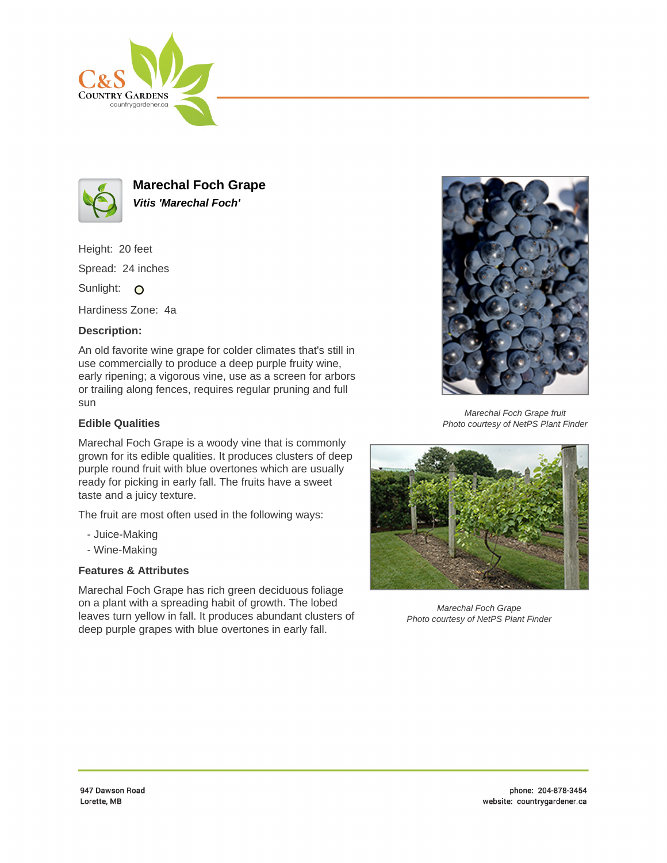



**Marechal Foch Grape Vitis 'Marechal Foch'**

Height: 20 feet

Spread: 24 inches

Sunlight: O

Hardiness Zone: 4a

# **Description:**

An old favorite wine grape for colder climates that's still in use commercially to produce a deep purple fruity wine, early ripening; a vigorous vine, use as a screen for arbors or trailing along fences, requires regular pruning and full sun

# **Edible Qualities**

Marechal Foch Grape is a woody vine that is commonly grown for its edible qualities. It produces clusters of deep purple round fruit with blue overtones which are usually ready for picking in early fall. The fruits have a sweet taste and a juicy texture.

The fruit are most often used in the following ways:

- Juice-Making
- Wine-Making

# **Features & Attributes**

Marechal Foch Grape has rich green deciduous foliage on a plant with a spreading habit of growth. The lobed leaves turn yellow in fall. It produces abundant clusters of deep purple grapes with blue overtones in early fall.



Marechal Foch Grape fruit Photo courtesy of NetPS Plant Finder



Marechal Foch Grape Photo courtesy of NetPS Plant Finder